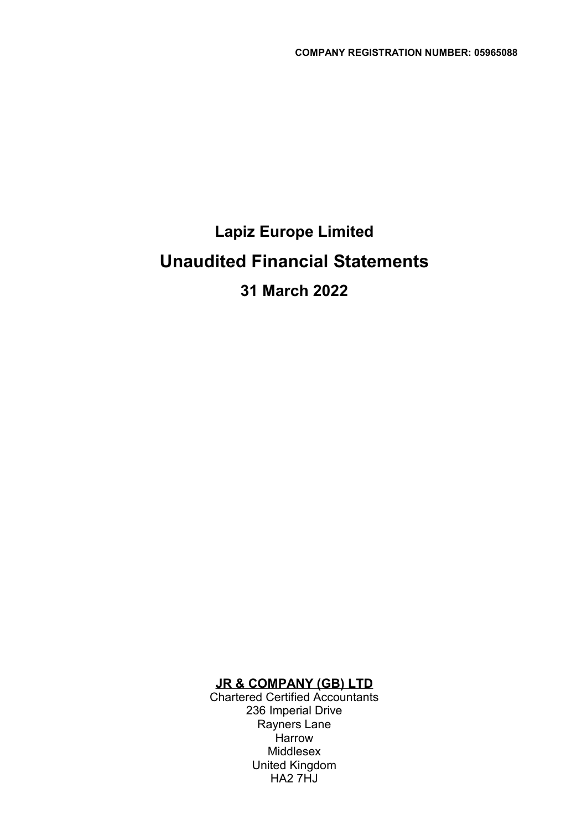# Lapiz Europe Limited Unaudited Financial Statements 31 March 2022

#### JR & COMPANY (GB) LTD

Chartered Certified Accountants 236 Imperial Drive Rayners Lane **Harrow** Middlesex United Kingdom HA2 7HJ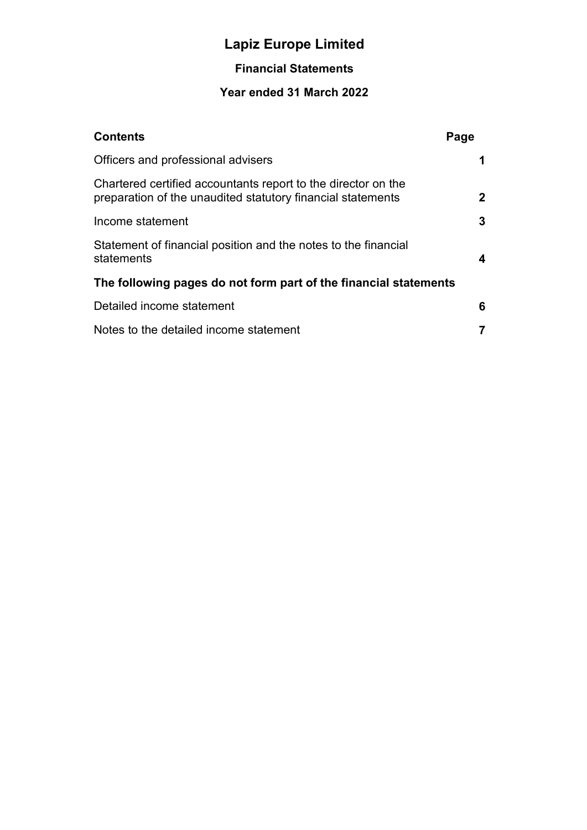### Financial Statements

| <b>Contents</b>                                                                                                              | Page         |
|------------------------------------------------------------------------------------------------------------------------------|--------------|
| Officers and professional advisers                                                                                           | 1            |
| Chartered certified accountants report to the director on the<br>preparation of the unaudited statutory financial statements | $\mathbf{2}$ |
| Income statement                                                                                                             | 3            |
| Statement of financial position and the notes to the financial<br>statements                                                 | 4            |
| The following pages do not form part of the financial statements                                                             |              |
| Detailed income statement                                                                                                    | 6            |
| Notes to the detailed income statement                                                                                       | 7            |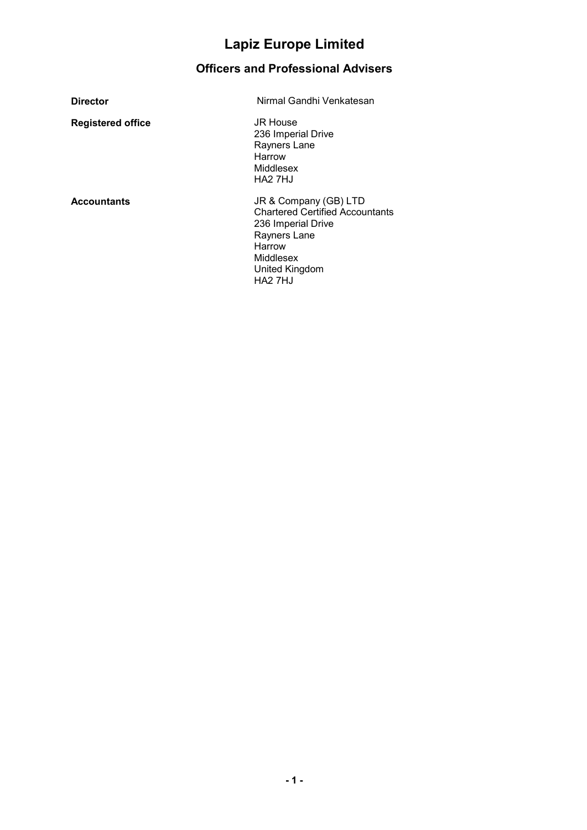## Officers and Professional Advisers

| <b>Director</b>          | Nirmal Gandhi Venkatesan                                                                                                                                              |
|--------------------------|-----------------------------------------------------------------------------------------------------------------------------------------------------------------------|
| <b>Registered office</b> | JR House<br>236 Imperial Drive<br>Rayners Lane<br>Harrow<br>Middlesex<br>HA <sub>2</sub> 7HJ                                                                          |
| <b>Accountants</b>       | JR & Company (GB) LTD<br><b>Chartered Certified Accountants</b><br>236 Imperial Drive<br>Rayners Lane<br>Harrow<br>Middlesex<br>United Kingdom<br>HA <sub>2</sub> 7HJ |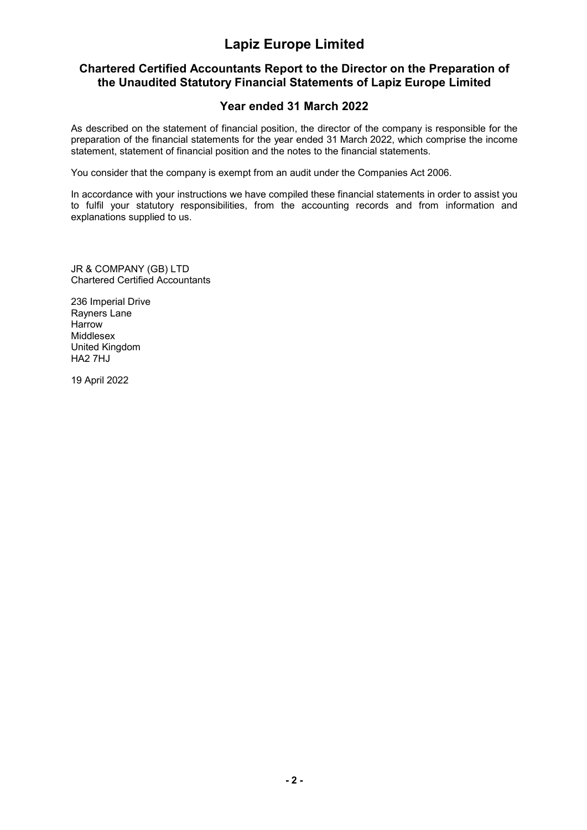#### Chartered Certified Accountants Report to the Director on the Preparation of the Unaudited Statutory Financial Statements of Lapiz Europe Limited

#### Year ended 31 March 2022

As described on the statement of financial position, the director of the company is responsible for the preparation of the financial statements for the year ended 31 March 2022, which comprise the income statement, statement of financial position and the notes to the financial statements.

You consider that the company is exempt from an audit under the Companies Act 2006.

In accordance with your instructions we have compiled these financial statements in order to assist you to fulfil your statutory responsibilities, from the accounting records and from information and explanations supplied to us.

JR & COMPANY (GB) LTD Chartered Certified Accountants

236 Imperial Drive Rayners Lane Harrow Middlesex United Kingdom HA2 7HJ

19 April 2022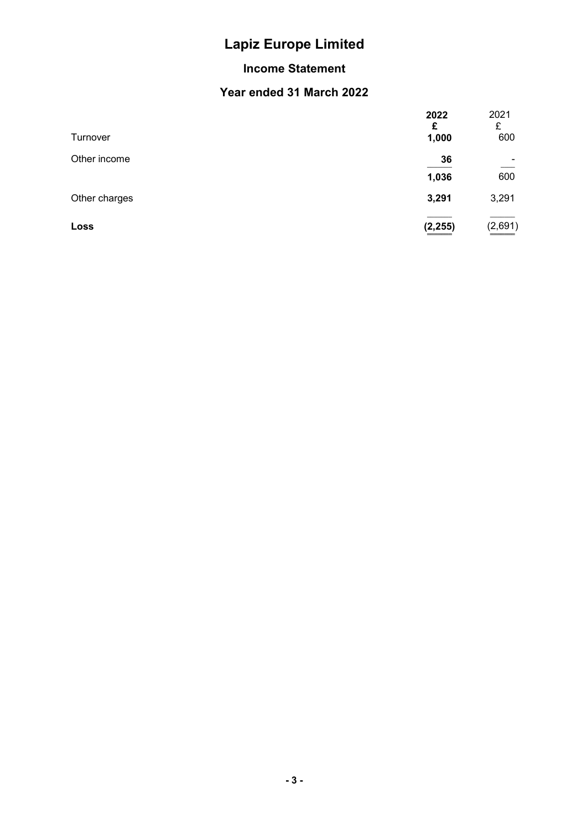### Income Statement

|               | 2022<br>£ | 2021<br>£ |
|---------------|-----------|-----------|
| Turnover      | 1,000     | 600       |
| Other income  | 36        |           |
|               | 1,036     | 600       |
| Other charges | 3,291     | 3,291     |
| Loss          | (2, 255)  | (2,691)   |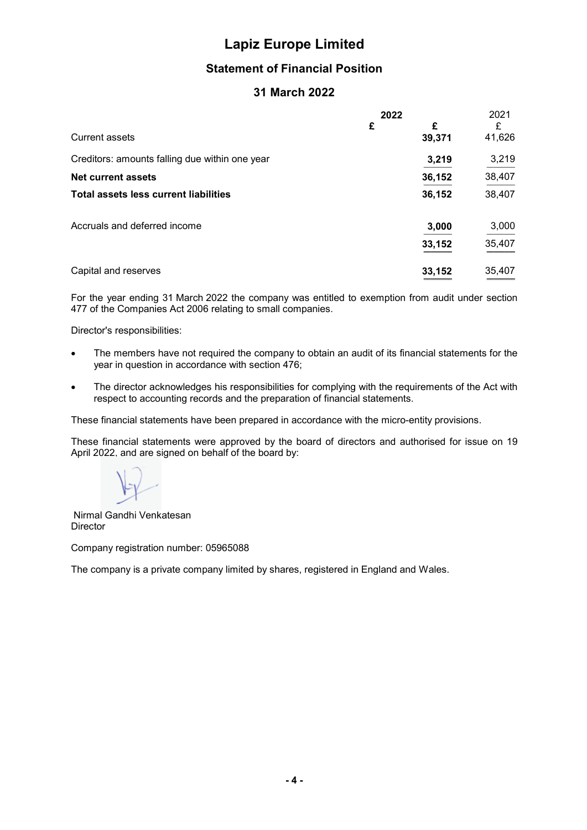#### Statement of Financial Position

#### 31 March 2022

|                                                | 2022 |             | 2021        |
|------------------------------------------------|------|-------------|-------------|
| <b>Current assets</b>                          | £    | £<br>39,371 | £<br>41,626 |
| Creditors: amounts falling due within one year |      | 3,219       | 3,219       |
| Net current assets                             |      | 36,152      | 38,407      |
| <b>Total assets less current liabilities</b>   |      | 36,152      | 38,407      |
| Accruals and deferred income                   |      | 3,000       | 3,000       |
|                                                |      | 33,152      | 35,407      |
| Capital and reserves                           |      | 33,152      | 35,407      |

For the year ending 31 March 2022 the company was entitled to exemption from audit under section 477 of the Companies Act 2006 relating to small companies.

Director's responsibilities:

- The members have not required the company to obtain an audit of its financial statements for the year in question in accordance with section 476;
- The director acknowledges his responsibilities for complying with the requirements of the Act with respect to accounting records and the preparation of financial statements.

These financial statements have been prepared in accordance with the micro-entity provisions.

These financial statements were approved by the board of directors and authorised for issue on 19 April 2022, and are signed on behalf of the board by:

 Nirmal Gandhi Venkatesan Director

Company registration number: 05965088

The company is a private company limited by shares, registered in England and Wales.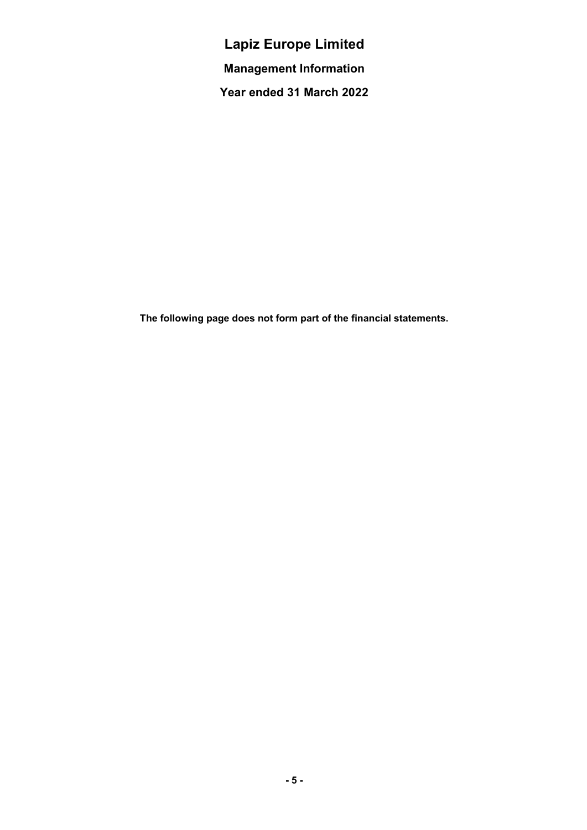Lapiz Europe Limited Management Information Year ended 31 March 2022

The following page does not form part of the financial statements.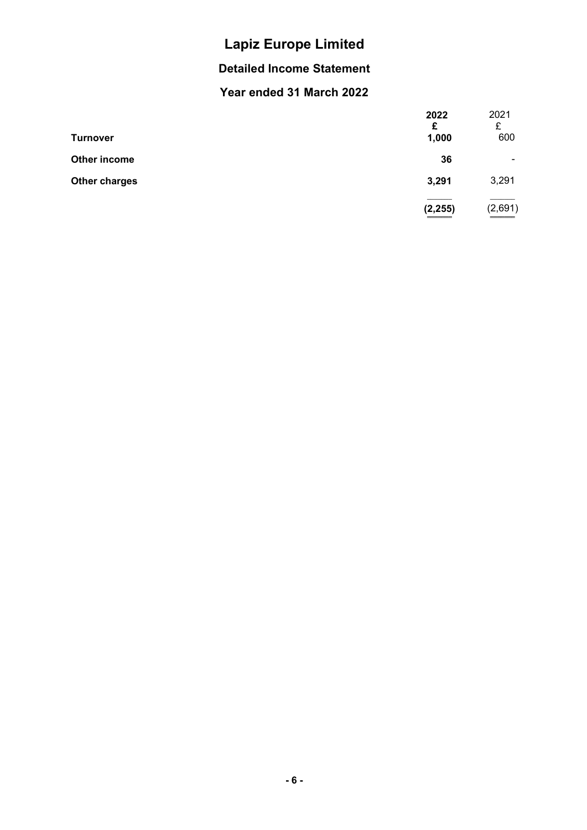### Detailed Income Statement

| <b>Turnover</b>      | 2022<br>£<br>1,000 | 2021<br>£<br>600 |
|----------------------|--------------------|------------------|
| Other income         | 36                 | ۰                |
| <b>Other charges</b> | 3,291              | 3,291            |
|                      | (2, 255)           | (2,691)<br>_____ |